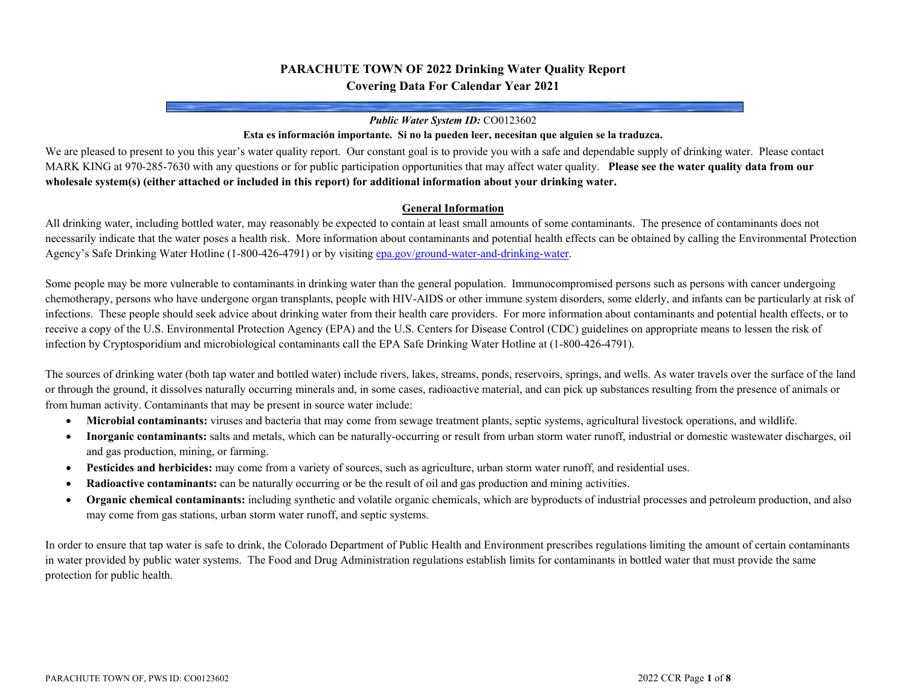## **PARACHUTE TOWN OF 2022 Drinking Water Quality Report Covering Data For Calendar Year 2021**

#### *Public Water System ID:* CO0123602

### **Esta es información importante. Si no la pueden leer, necesitan que alguien se la traduzca.**

We are pleased to present to you this year's water quality report. Our constant goal is to provide you with a safe and dependable supply of drinking water. Please contact MARK KING at 970-285-7630 with any questions or for public participation opportunities that may affect water quality. **Please see the water quality data from our wholesale system(s) (either attached or included in this report) for additional information about your drinking water.**

#### **General Information**

All drinking water, including bottled water, may reasonably be expected to contain at least small amounts of some contaminants. The presence of contaminants does not necessarily indicate that the water poses a health risk. More information about contaminants and potential health effects can be obtained by calling the Environmental Protection Agency's Safe Drinking Water Hotline (1-800-426-4791) or by visitin[g epa.gov/ground-water-and-drinking-water.](https://www.epa.gov/ground-water-and-drinking-water)

Some people may be more vulnerable to contaminants in drinking water than the general population. Immunocompromised persons such as persons with cancer undergoing chemotherapy, persons who have undergone organ transplants, people with HIV-AIDS or other immune system disorders, some elderly, and infants can be particularly at risk of infections. These people should seek advice about drinking water from their health care providers. For more information about contaminants and potential health effects, or to receive a copy of the U.S. Environmental Protection Agency (EPA) and the U.S. Centers for Disease Control (CDC) guidelines on appropriate means to lessen the risk of infection by Cryptosporidium and microbiological contaminants call the EPA Safe Drinking Water Hotline at (1-800-426-4791).

The sources of drinking water (both tap water and bottled water) include rivers, lakes, streams, ponds, reservoirs, springs, and wells. As water travels over the surface of the land or through the ground, it dissolves naturally occurring minerals and, in some cases, radioactive material, and can pick up substances resulting from the presence of animals or from human activity. Contaminants that may be present in source water include:

- **Microbial contaminants:** viruses and bacteria that may come from sewage treatment plants, septic systems, agricultural livestock operations, and wildlife.
- **Inorganic contaminants:** salts and metals, which can be naturally-occurring or result from urban storm water runoff, industrial or domestic wastewater discharges, oil and gas production, mining, or farming.
- **Pesticides and herbicides:** may come from a variety of sources, such as agriculture, urban storm water runoff, and residential uses.
- **Radioactive contaminants:** can be naturally occurring or be the result of oil and gas production and mining activities.
- **Organic chemical contaminants:** including synthetic and volatile organic chemicals, which are byproducts of industrial processes and petroleum production, and also may come from gas stations, urban storm water runoff, and septic systems.

In order to ensure that tap water is safe to drink, the Colorado Department of Public Health and Environment prescribes regulations limiting the amount of certain contaminants in water provided by public water systems. The Food and Drug Administration regulations establish limits for contaminants in bottled water that must provide the same protection for public health.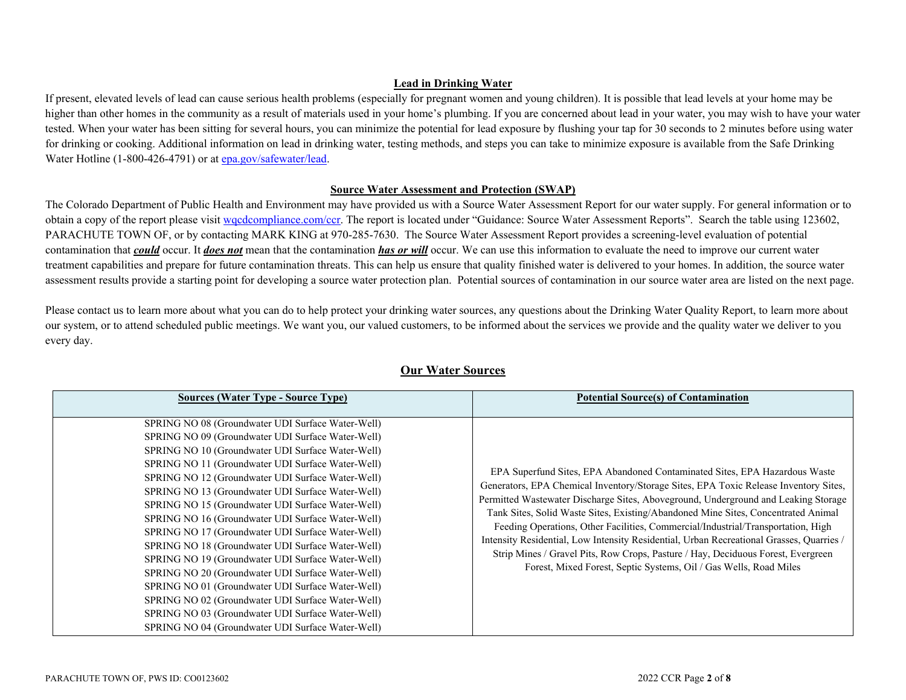## **Lead in Drinking Water**

If present, elevated levels of lead can cause serious health problems (especially for pregnant women and young children). It is possible that lead levels at your home may be higher than other homes in the community as a result of materials used in your home's plumbing. If you are concerned about lead in your water, you may wish to have your water tested. When your water has been sitting for several hours, you can minimize the potential for lead exposure by flushing your tap for 30 seconds to 2 minutes before using water for drinking or cooking. Additional information on lead in drinking water, testing methods, and steps you can take to minimize exposure is available from the Safe Drinking Water Hotline (1-800-426-4791) or a[t epa.gov/safewater/lead.](http://www.epa.gov/safewater/lead)

### **Source Water Assessment and Protection (SWAP)**

The Colorado Department of Public Health and Environment may have provided us with a Source Water Assessment Report for our water supply. For general information or to obtain a copy of the report please visit [wqcdcompliance.com/ccr.](https://wqcdcompliance.com/ccr) The report is located under "Guidance: Source Water Assessment Reports". Search the table using 123602, PARACHUTE TOWN OF, or by contacting MARK KING at 970-285-7630. The Source Water Assessment Report provides a screening-level evaluation of potential contamination that *could* occur. It *does not* mean that the contamination *has or will* occur. We can use this information to evaluate the need to improve our current water treatment capabilities and prepare for future contamination threats. This can help us ensure that quality finished water is delivered to your homes. In addition, the source water assessment results provide a starting point for developing a source water protection plan. Potential sources of contamination in our source water area are listed on the next page.

Please contact us to learn more about what you can do to help protect your drinking water sources, any questions about the Drinking Water Quality Report, to learn more about our system, or to attend scheduled public meetings. We want you, our valued customers, to be informed about the services we provide and the quality water we deliver to you every day.

| <b>Sources (Water Type - Source Type)</b>                                                                                                                                                                                                                                                                                                                                                                                                                                                                                                                                                                                                                                                                                                                                                                                                                                    | <b>Potential Source(s) of Contamination</b>                                                                                                                                                                                                                                                                                                                                                                                                                                                                                                                                                                                                                                            |
|------------------------------------------------------------------------------------------------------------------------------------------------------------------------------------------------------------------------------------------------------------------------------------------------------------------------------------------------------------------------------------------------------------------------------------------------------------------------------------------------------------------------------------------------------------------------------------------------------------------------------------------------------------------------------------------------------------------------------------------------------------------------------------------------------------------------------------------------------------------------------|----------------------------------------------------------------------------------------------------------------------------------------------------------------------------------------------------------------------------------------------------------------------------------------------------------------------------------------------------------------------------------------------------------------------------------------------------------------------------------------------------------------------------------------------------------------------------------------------------------------------------------------------------------------------------------------|
| SPRING NO 08 (Groundwater UDI Surface Water-Well)<br>SPRING NO 09 (Groundwater UDI Surface Water-Well)<br>SPRING NO 10 (Groundwater UDI Surface Water-Well)<br>SPRING NO 11 (Groundwater UDI Surface Water-Well)<br>SPRING NO 12 (Groundwater UDI Surface Water-Well)<br>SPRING NO 13 (Groundwater UDI Surface Water-Well)<br>SPRING NO 15 (Groundwater UDI Surface Water-Well)<br>SPRING NO 16 (Groundwater UDI Surface Water-Well)<br>SPRING NO 17 (Groundwater UDI Surface Water-Well)<br>SPRING NO 18 (Groundwater UDI Surface Water-Well)<br>SPRING NO 19 (Groundwater UDI Surface Water-Well)<br>SPRING NO 20 (Groundwater UDI Surface Water-Well)<br>SPRING NO 01 (Groundwater UDI Surface Water-Well)<br>SPRING NO 02 (Groundwater UDI Surface Water-Well)<br>SPRING NO 03 (Groundwater UDI Surface Water-Well)<br>SPRING NO 04 (Groundwater UDI Surface Water-Well) | EPA Superfund Sites, EPA Abandoned Contaminated Sites, EPA Hazardous Waste<br>Generators, EPA Chemical Inventory/Storage Sites, EPA Toxic Release Inventory Sites,<br>Permitted Wastewater Discharge Sites, Aboveground, Underground and Leaking Storage<br>Tank Sites, Solid Waste Sites, Existing/Abandoned Mine Sites, Concentrated Animal<br>Feeding Operations, Other Facilities, Commercial/Industrial/Transportation, High<br>Intensity Residential, Low Intensity Residential, Urban Recreational Grasses, Quarries /<br>Strip Mines / Gravel Pits, Row Crops, Pasture / Hay, Deciduous Forest, Evergreen<br>Forest, Mixed Forest, Septic Systems, Oil / Gas Wells, Road Miles |

## **Our Water Sources**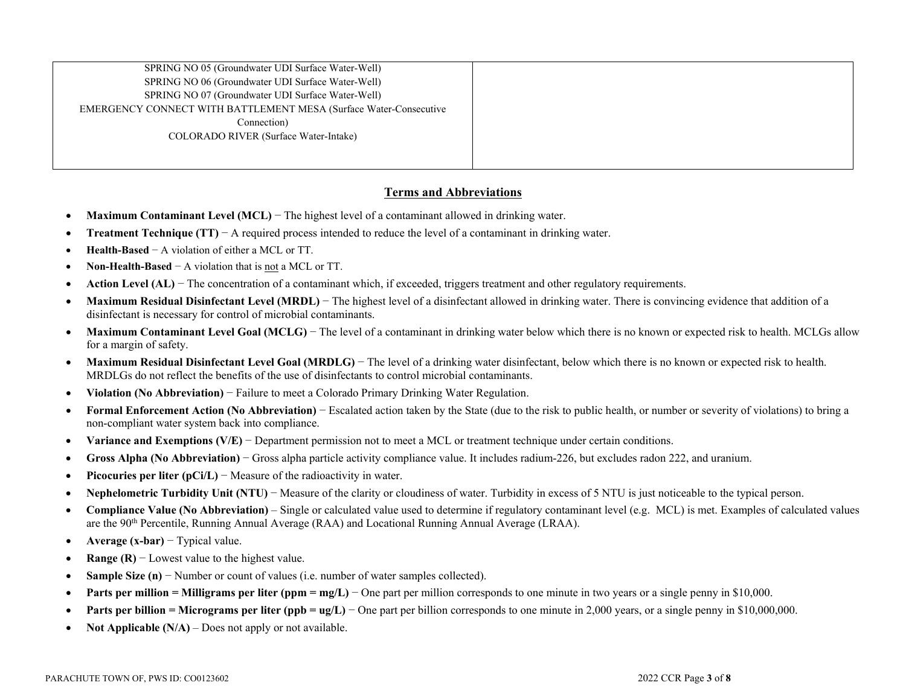| SPRING NO 05 (Groundwater UDI Surface Water-Well)                 |  |
|-------------------------------------------------------------------|--|
| SPRING NO 06 (Groundwater UDI Surface Water-Well)                 |  |
| SPRING NO 07 (Groundwater UDI Surface Water-Well)                 |  |
| EMERGENCY CONNECT WITH BATTLEMENT MESA (Surface Water-Consecutive |  |
| Connection)                                                       |  |
| COLORADO RIVER (Surface Water-Intake)                             |  |
|                                                                   |  |
|                                                                   |  |

## **Terms and Abbreviations**

- **Maximum Contaminant Level (MCL)** − The highest level of a contaminant allowed in drinking water.
- **Treatment Technique (TT)** − A required process intended to reduce the level of a contaminant in drinking water.
- **Health-Based** − A violation of either a MCL or TT.
- **Non-Health-Based** − A violation that is not a MCL or TT.
- **Action Level (AL)** − The concentration of a contaminant which, if exceeded, triggers treatment and other regulatory requirements.
- Maximum Residual Disinfectant Level (MRDL) The highest level of a disinfectant allowed in drinking water. There is convincing evidence that addition of a disinfectant is necessary for control of microbial contaminants.
- Maximum Contaminant Level Goal (MCLG) The level of a contaminant in drinking water below which there is no known or expected risk to health. MCLGs allow for a margin of safety.
- **Maximum Residual Disinfectant Level Goal (MRDLG)** − The level of a drinking water disinfectant, below which there is no known or expected risk to health. MRDLGs do not reflect the benefits of the use of disinfectants to control microbial contaminants.
- **Violation (No Abbreviation)** − Failure to meet a Colorado Primary Drinking Water Regulation.
- **Formal Enforcement Action (No Abbreviation)** − Escalated action taken by the State (due to the risk to public health, or number or severity of violations) to bring a non-compliant water system back into compliance.
- **Variance and Exemptions (V/E)** − Department permission not to meet a MCL or treatment technique under certain conditions.
- **Gross Alpha (No Abbreviation)** − Gross alpha particle activity compliance value. It includes radium-226, but excludes radon 222, and uranium.
- **Picocuries per liter (pCi/L)** − Measure of the radioactivity in water.
- **Nephelometric Turbidity Unit (NTU)** − Measure of the clarity or cloudiness of water. Turbidity in excess of 5 NTU is just noticeable to the typical person.
- **Compliance Value (No Abbreviation)** Single or calculated value used to determine if regulatory contaminant level (e.g. MCL) is met. Examples of calculated values are the 90th Percentile, Running Annual Average (RAA) and Locational Running Annual Average (LRAA).
- **Average (x-bar)** − Typical value.
- **Range (R)** − Lowest value to the highest value.
- **Sample Size (n)** − Number or count of values (i.e. number of water samples collected).
- **• Parts per million = Milligrams per liter (ppm = mg/L)** One part per million corresponds to one minute in two years or a single penny in \$10,000.
- **• Parts per billion = Micrograms per liter (ppb = ug/L)** One part per billion corresponds to one minute in 2,000 years, or a single penny in \$10,000,000.
- **Not Applicable (N/A)** Does not apply or not available.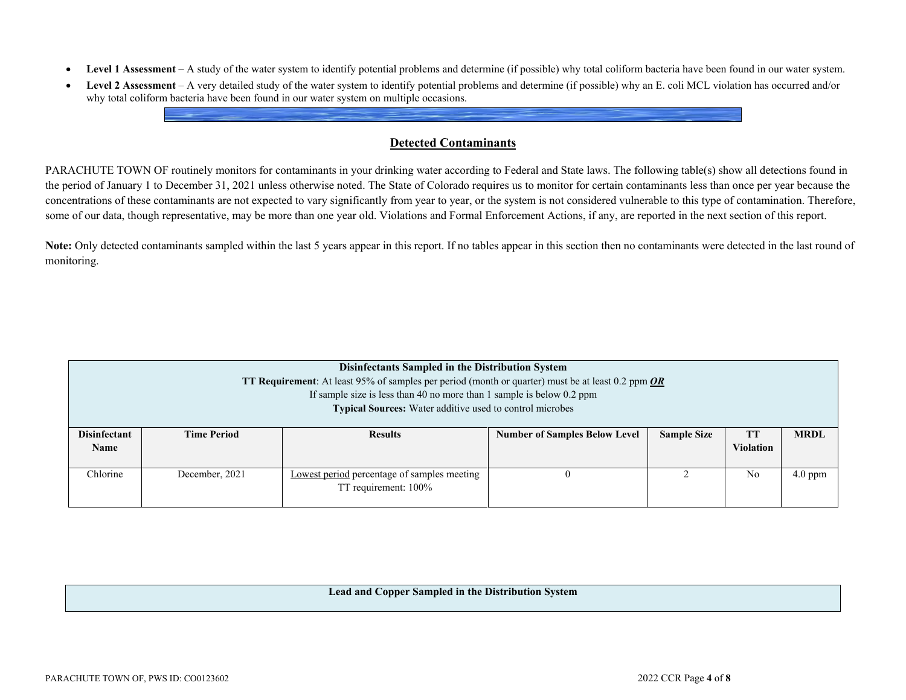- **Level 1 Assessment** A study of the water system to identify potential problems and determine (if possible) why total coliform bacteria have been found in our water system.
- **Level 2 Assessment** A very detailed study of the water system to identify potential problems and determine (if possible) why an E. coli MCL violation has occurred and/or why total coliform bacteria have been found in our water system on multiple occasions.

## **Detected Contaminants**

PARACHUTE TOWN OF routinely monitors for contaminants in your drinking water according to Federal and State laws. The following table(s) show all detections found in the period of January 1 to December 31, 2021 unless otherwise noted. The State of Colorado requires us to monitor for certain contaminants less than once per year because the concentrations of these contaminants are not expected to vary significantly from year to year, or the system is not considered vulnerable to this type of contamination. Therefore, some of our data, though representative, may be more than one year old. Violations and Formal Enforcement Actions, if any, are reported in the next section of this report.

Note: Only detected contaminants sampled within the last 5 years appear in this report. If no tables appear in this section then no contaminants were detected in the last round of monitoring.

|                                    | Disinfectants Sampled in the Distribution System<br><b>TT Requirement:</b> At least 95% of samples per period (month or quarter) must be at least 0.2 ppm $OR$<br>If sample size is less than 40 no more than 1 sample is below $0.2$ ppm<br><b>Typical Sources:</b> Water additive used to control microbes |                                                                     |                                      |                    |                               |             |  |  |  |
|------------------------------------|--------------------------------------------------------------------------------------------------------------------------------------------------------------------------------------------------------------------------------------------------------------------------------------------------------------|---------------------------------------------------------------------|--------------------------------------|--------------------|-------------------------------|-------------|--|--|--|
| <b>Disinfectant</b><br><b>Name</b> | <b>Time Period</b>                                                                                                                                                                                                                                                                                           | <b>Results</b>                                                      | <b>Number of Samples Below Level</b> | <b>Sample Size</b> | <b>TT</b><br><b>Violation</b> | <b>MRDL</b> |  |  |  |
| Chlorine                           | December, 2021                                                                                                                                                                                                                                                                                               | Lowest period percentage of samples meeting<br>TT requirement: 100% |                                      |                    | No                            | $4.0$ ppm   |  |  |  |

### **Lead and Copper Sampled in the Distribution System**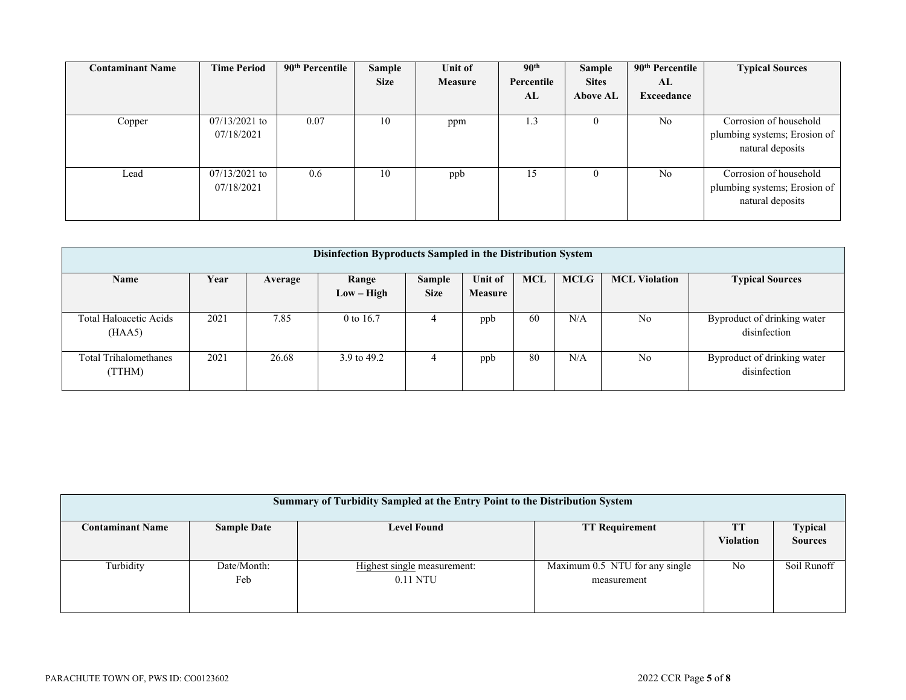| <b>Contaminant Name</b> | <b>Time Period</b> | 90 <sup>th</sup> Percentile | Sample      | Unit of | 90 <sup>th</sup> | Sample          | 90 <sup>th</sup> Percentile | <b>Typical Sources</b>       |
|-------------------------|--------------------|-----------------------------|-------------|---------|------------------|-----------------|-----------------------------|------------------------------|
|                         |                    |                             | <b>Size</b> | Measure | Percentile       | <b>Sites</b>    | AL                          |                              |
|                         |                    |                             |             |         | AL               | <b>Above AL</b> | Exceedance                  |                              |
|                         |                    |                             |             |         |                  |                 |                             |                              |
| Copper                  | $07/13/2021$ to    | 0.07                        | 10          | ppm     | 1.3              |                 | N <sub>o</sub>              | Corrosion of household       |
|                         | 07/18/2021         |                             |             |         |                  |                 |                             | plumbing systems; Erosion of |
|                         |                    |                             |             |         |                  |                 |                             | natural deposits             |
|                         |                    |                             |             |         |                  |                 |                             |                              |
| Lead                    | $07/13/2021$ to    | 0.6                         | 10          | ppb     | 15               |                 | N <sub>o</sub>              | Corrosion of household       |
|                         | 07/18/2021         |                             |             |         |                  |                 |                             | plumbing systems; Erosion of |
|                         |                    |                             |             |         |                  |                 |                             | natural deposits             |
|                         |                    |                             |             |         |                  |                 |                             |                              |

| Disinfection Byproducts Sampled in the Distribution System |      |         |                       |                       |                    |            |             |                      |                                             |
|------------------------------------------------------------|------|---------|-----------------------|-----------------------|--------------------|------------|-------------|----------------------|---------------------------------------------|
| Name                                                       | Year | Average | Range<br>$Low - High$ | Sample<br><b>Size</b> | Unit of<br>Measure | <b>MCL</b> | <b>MCLG</b> | <b>MCL Violation</b> | <b>Typical Sources</b>                      |
| Total Haloacetic Acids<br>(HAA5)                           | 2021 | 7.85    | 0 to 16.7             | 4                     | ppb                | 60         | N/A         | No                   | Byproduct of drinking water<br>disinfection |
| <b>Total Trihalomethanes</b><br>(TTHM)                     | 2021 | 26.68   | 3.9 to 49.2           | 4                     | ppb                | 80         | N/A         | N <sub>o</sub>       | Byproduct of drinking water<br>disinfection |

| Summary of Turbidity Sampled at the Entry Point to the Distribution System |                    |                             |                                |                  |                |  |  |  |  |
|----------------------------------------------------------------------------|--------------------|-----------------------------|--------------------------------|------------------|----------------|--|--|--|--|
| <b>Contaminant Name</b>                                                    | <b>Sample Date</b> | <b>Level Found</b>          | <b>TT Requirement</b>          |                  | <b>Typical</b> |  |  |  |  |
|                                                                            |                    |                             |                                | <b>Violation</b> | <b>Sources</b> |  |  |  |  |
|                                                                            |                    |                             |                                |                  |                |  |  |  |  |
| Turbidity                                                                  | Date/Month:        | Highest single measurement: | Maximum 0.5 NTU for any single | No               | Soil Runoff    |  |  |  |  |
|                                                                            | Feb                | $0.11$ NTU                  | measurement                    |                  |                |  |  |  |  |
|                                                                            |                    |                             |                                |                  |                |  |  |  |  |
|                                                                            |                    |                             |                                |                  |                |  |  |  |  |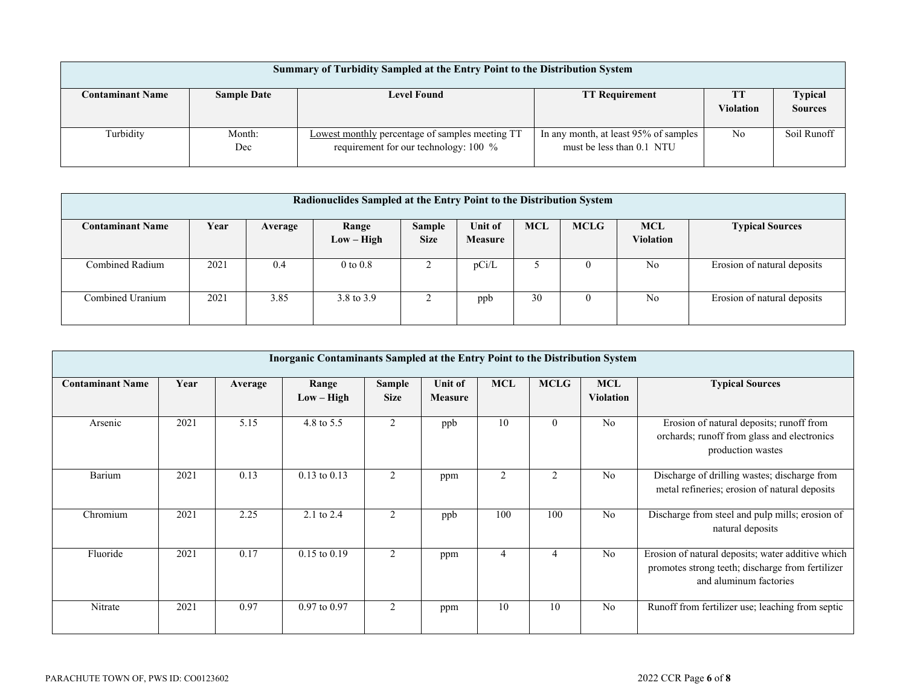| <b>Summary of Turbidity Sampled at the Entry Point to the Distribution System</b> |                    |                                                                                            |                                                                    |                        |                           |  |  |  |
|-----------------------------------------------------------------------------------|--------------------|--------------------------------------------------------------------------------------------|--------------------------------------------------------------------|------------------------|---------------------------|--|--|--|
| <b>Contaminant Name</b>                                                           | <b>Sample Date</b> | <b>Level Found</b>                                                                         | <b>TT Requirement</b>                                              | <b>TT</b><br>Violation | Typical<br><b>Sources</b> |  |  |  |
| Turbidity                                                                         | Month:<br>Dec      | Lowest monthly percentage of samples meeting TT<br>requirement for our technology: $100\%$ | In any month, at least 95% of samples<br>must be less than 0.1 NTU | No                     | Soil Runoff               |  |  |  |

| Radionuclides Sampled at the Entry Point to the Distribution System |      |         |                       |                              |                                  |            |             |                                |                             |
|---------------------------------------------------------------------|------|---------|-----------------------|------------------------------|----------------------------------|------------|-------------|--------------------------------|-----------------------------|
| <b>Contaminant Name</b>                                             | Year | Average | Range<br>$Low - High$ | <b>Sample</b><br><b>Size</b> | <b>Unit of</b><br><b>Measure</b> | <b>MCL</b> | <b>MCLG</b> | <b>MCL</b><br><b>Violation</b> | <b>Typical Sources</b>      |
| Combined Radium                                                     | 2021 | 0.4     | $0$ to $0.8$          |                              | pCi/L                            |            |             | No                             | Erosion of natural deposits |
| Combined Uranium                                                    | 2021 | 3.85    | 3.8 to 3.9            |                              | ppb                              | 30         |             | No                             | Erosion of natural deposits |

|                         | Inorganic Contaminants Sampled at the Entry Point to the Distribution System |         |                       |                       |                    |                |                |                                |                                                                                                                                 |  |
|-------------------------|------------------------------------------------------------------------------|---------|-----------------------|-----------------------|--------------------|----------------|----------------|--------------------------------|---------------------------------------------------------------------------------------------------------------------------------|--|
| <b>Contaminant Name</b> | Year                                                                         | Average | Range<br>$Low - High$ | Sample<br><b>Size</b> | Unit of<br>Measure | <b>MCL</b>     | <b>MCLG</b>    | <b>MCL</b><br><b>Violation</b> | <b>Typical Sources</b>                                                                                                          |  |
| Arsenic                 | 2021                                                                         | 5.15    | 4.8 to 5.5            | 2                     | ppb                | 10             | $\mathbf{0}$   | N <sub>o</sub>                 | Erosion of natural deposits; runoff from<br>orchards; runoff from glass and electronics<br>production wastes                    |  |
| Barium                  | 2021                                                                         | 0.13    | $0.13$ to $0.13$      | 2                     | ppm                | $\overline{2}$ | $\overline{2}$ | No                             | Discharge of drilling wastes; discharge from<br>metal refineries; erosion of natural deposits                                   |  |
| Chromium                | 2021                                                                         | 2.25    | 2.1 to $2.4$          | 2                     | ppb                | 100            | 100            | N <sub>o</sub>                 | Discharge from steel and pulp mills; erosion of<br>natural deposits                                                             |  |
| Fluoride                | 2021                                                                         | 0.17    | $0.15$ to $0.19$      | 2                     | ppm                | 4              | 4              | No                             | Erosion of natural deposits; water additive which<br>promotes strong teeth; discharge from fertilizer<br>and aluminum factories |  |
| Nitrate                 | 2021                                                                         | 0.97    | 0.97 to 0.97          | 2                     | ppm                | 10             | 10             | N <sub>o</sub>                 | Runoff from fertilizer use; leaching from septic                                                                                |  |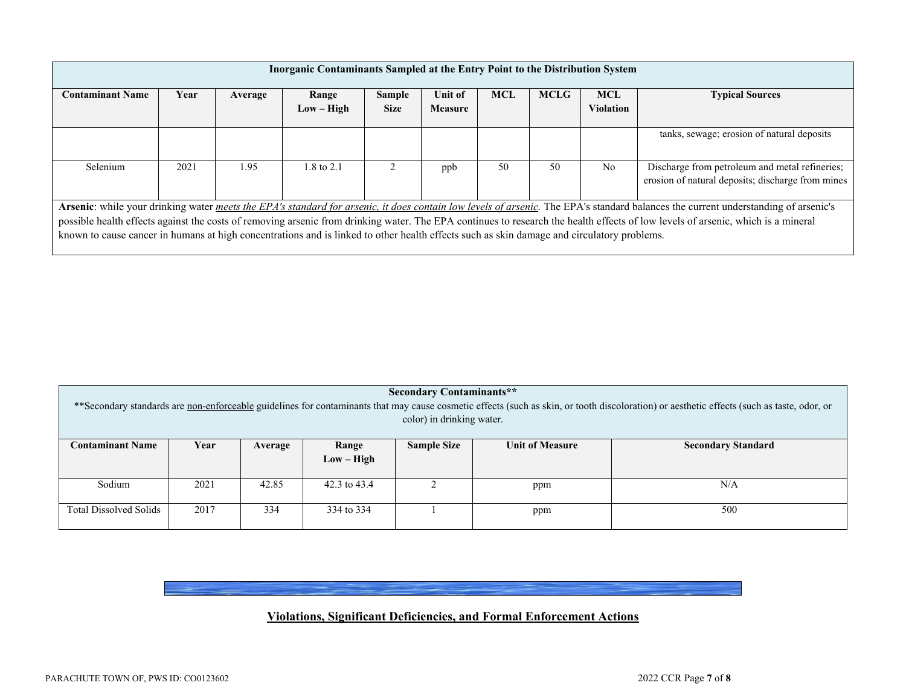| Inorganic Contaminants Sampled at the Entry Point to the Distribution System                                                                                                     |                                                                                                                                                                                    |         |                       |                       |                           |            |             |                                |                                                                                                     |
|----------------------------------------------------------------------------------------------------------------------------------------------------------------------------------|------------------------------------------------------------------------------------------------------------------------------------------------------------------------------------|---------|-----------------------|-----------------------|---------------------------|------------|-------------|--------------------------------|-----------------------------------------------------------------------------------------------------|
| <b>Contaminant Name</b>                                                                                                                                                          | Year                                                                                                                                                                               | Average | Range<br>$Low - High$ | Sample<br><b>Size</b> | Unit of<br><b>Measure</b> | <b>MCL</b> | <b>MCLG</b> | <b>MCL</b><br><b>Violation</b> | <b>Typical Sources</b>                                                                              |
|                                                                                                                                                                                  |                                                                                                                                                                                    |         |                       |                       |                           |            |             |                                | tanks, sewage; erosion of natural deposits                                                          |
| Selenium                                                                                                                                                                         | 2021                                                                                                                                                                               | 1.95    | 1.8 to 2.1            |                       | ppb                       | 50         | 50          | N <sub>0</sub>                 | Discharge from petroleum and metal refineries;<br>erosion of natural deposits; discharge from mines |
|                                                                                                                                                                                  | Arsenic: while your drinking water meets the EPA's standard for arsenic, it does contain low levels of arsenic. The EPA's standard balances the current understanding of arsenic's |         |                       |                       |                           |            |             |                                |                                                                                                     |
| possible health effects against the costs of removing arsenic from drinking water. The EPA continues to research the health effects of low levels of arsenic, which is a mineral |                                                                                                                                                                                    |         |                       |                       |                           |            |             |                                |                                                                                                     |
| known to cause cancer in humans at high concentrations and is linked to other health effects such as skin damage and circulatory problems.                                       |                                                                                                                                                                                    |         |                       |                       |                           |            |             |                                |                                                                                                     |

| <b>Secondary Contaminants**</b><br>** Secondary standards are non-enforceable guidelines for contaminants that may cause cosmetic effects (such as skin, or tooth discoloration) or aesthetic effects (such as taste, odor, or<br>color) in drinking water. |      |         |                       |                    |                        |                           |  |
|-------------------------------------------------------------------------------------------------------------------------------------------------------------------------------------------------------------------------------------------------------------|------|---------|-----------------------|--------------------|------------------------|---------------------------|--|
| <b>Contaminant Name</b>                                                                                                                                                                                                                                     | Year | Average | Range<br>$Low - High$ | <b>Sample Size</b> | <b>Unit of Measure</b> | <b>Secondary Standard</b> |  |
| Sodium                                                                                                                                                                                                                                                      | 2021 | 42.85   | 42.3 to 43.4          |                    | ppm                    | N/A                       |  |
|                                                                                                                                                                                                                                                             |      |         |                       |                    |                        |                           |  |
| 2017<br><b>Total Dissolved Solids</b><br>500<br>334<br>334 to 334<br>ppm                                                                                                                                                                                    |      |         |                       |                    |                        |                           |  |

# **Violations, Significant Deficiencies, and Formal Enforcement Actions**